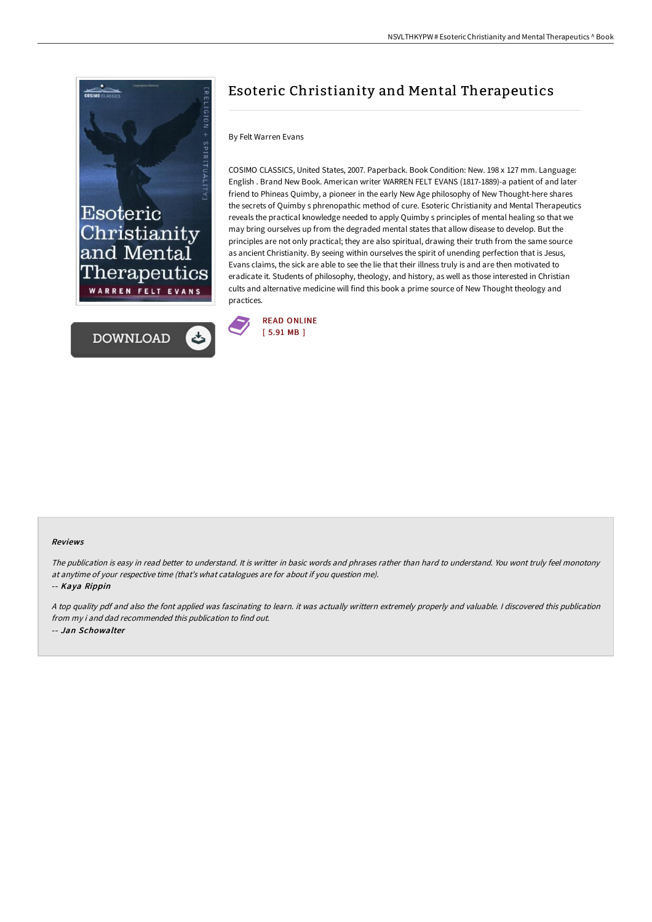



# Esoteric Christianity and Mental Therapeutics

## By Felt Warren Evans

COSIMO CLASSICS, United States, 2007. Paperback. Book Condition: New. 198 x 127 mm. Language: English . Brand New Book. American writer WARREN FELT EVANS (1817-1889)-a patient of and later friend to Phineas Quimby, a pioneer in the early New Age philosophy of New Thought-here shares the secrets of Quimby s phrenopathic method of cure. Esoteric Christianity and Mental Therapeutics reveals the practical knowledge needed to apply Quimby s principles of mental healing so that we may bring ourselves up from the degraded mental states that allow disease to develop. But the principles are not only practical; they are also spiritual, drawing their truth from the same source as ancient Christianity. By seeing within ourselves the spirit of unending perfection that is Jesus, Evans claims, the sick are able to see the lie that their illness truly is and are then motivated to eradicate it. Students of philosophy, theology, and history, as well as those interested in Christian cults and alternative medicine will find this book a prime source of New Thought theology and practices.



#### Reviews

The publication is easy in read better to understand. It is writter in basic words and phrases rather than hard to understand. You wont truly feel monotony at anytime of your respective time (that's what catalogues are for about if you question me).

-- Kaya Rippin

<sup>A</sup> top quality pdf and also the font applied was fascinating to learn. it was actually writtern extremely properly and valuable. <sup>I</sup> discovered this publication from my i and dad recommended this publication to find out. -- Jan Schowalter